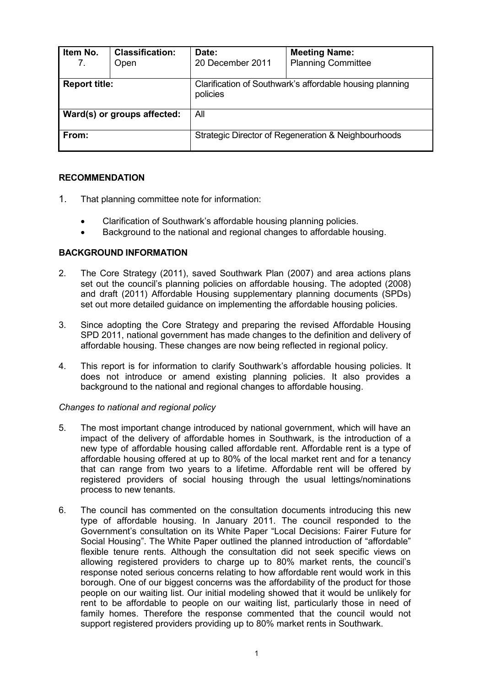| Item No.<br>7.              | <b>Classification:</b><br>Open | Date:<br>20 December 2011                                            | <b>Meeting Name:</b><br><b>Planning Committee</b> |  |  |  |
|-----------------------------|--------------------------------|----------------------------------------------------------------------|---------------------------------------------------|--|--|--|
| <b>Report title:</b>        |                                | Clarification of Southwark's affordable housing planning<br>policies |                                                   |  |  |  |
| Ward(s) or groups affected: |                                | All                                                                  |                                                   |  |  |  |
| From:                       |                                | Strategic Director of Regeneration & Neighbourhoods                  |                                                   |  |  |  |

# **RECOMMENDATION**

- 1. That planning committee note for information:
	- Clarification of Southwark's affordable housing planning policies.
	- Background to the national and regional changes to affordable housing.

# **BACKGROUND INFORMATION**

- 2. The Core Strategy (2011), saved Southwark Plan (2007) and area actions plans set out the council's planning policies on affordable housing. The adopted (2008) and draft (2011) Affordable Housing supplementary planning documents (SPDs) set out more detailed guidance on implementing the affordable housing policies.
- 3. Since adopting the Core Strategy and preparing the revised Affordable Housing SPD 2011, national government has made changes to the definition and delivery of affordable housing. These changes are now being reflected in regional policy.
- 4. This report is for information to clarify Southwark's affordable housing policies. It does not introduce or amend existing planning policies. It also provides a background to the national and regional changes to affordable housing.

# *Changes to national and regional policy*

- 5. The most important change introduced by national government, which will have an impact of the delivery of affordable homes in Southwark, is the introduction of a new type of affordable housing called affordable rent. Affordable rent is a type of affordable housing offered at up to 80% of the local market rent and for a tenancy that can range from two years to a lifetime. Affordable rent will be offered by registered providers of social housing through the usual lettings/nominations process to new tenants.
- 6. The council has commented on the consultation documents introducing this new type of affordable housing. In January 2011. The council responded to the Government's consultation on its White Paper "Local Decisions: Fairer Future for Social Housing". The White Paper outlined the planned introduction of "affordable" flexible tenure rents. Although the consultation did not seek specific views on allowing registered providers to charge up to 80% market rents, the council's response noted serious concerns relating to how affordable rent would work in this borough. One of our biggest concerns was the affordability of the product for those people on our waiting list. Our initial modeling showed that it would be unlikely for rent to be affordable to people on our waiting list, particularly those in need of family homes. Therefore the response commented that the council would not support registered providers providing up to 80% market rents in Southwark.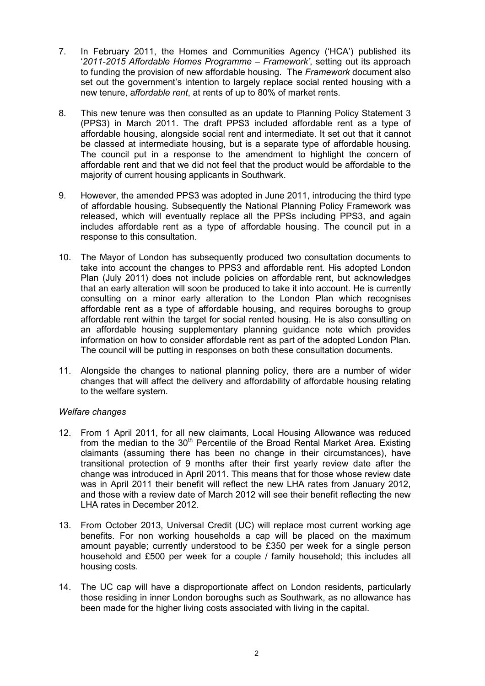- 7. In February 2011, the Homes and Communities Agency ('HCA') published its '*2011-2015 Affordable Homes Programme – Framework'*, setting out its approach to funding the provision of new affordable housing. The *Framework* document also set out the government's intention to largely replace social rented housing with a new tenure, a*ffordable rent*, at rents of up to 80% of market rents.
- 8. This new tenure was then consulted as an update to Planning Policy Statement 3 (PPS3) in March 2011. The draft PPS3 included affordable rent as a type of affordable housing, alongside social rent and intermediate. It set out that it cannot be classed at intermediate housing, but is a separate type of affordable housing. The council put in a response to the amendment to highlight the concern of affordable rent and that we did not feel that the product would be affordable to the majority of current housing applicants in Southwark.
- 9. However, the amended PPS3 was adopted in June 2011, introducing the third type of affordable housing. Subsequently the National Planning Policy Framework was released, which will eventually replace all the PPSs including PPS3, and again includes affordable rent as a type of affordable housing. The council put in a response to this consultation.
- 10. The Mayor of London has subsequently produced two consultation documents to take into account the changes to PPS3 and affordable rent. His adopted London Plan (July 2011) does not include policies on affordable rent, but acknowledges that an early alteration will soon be produced to take it into account. He is currently consulting on a minor early alteration to the London Plan which recognises affordable rent as a type of affordable housing, and requires boroughs to group affordable rent within the target for social rented housing. He is also consulting on an affordable housing supplementary planning guidance note which provides information on how to consider affordable rent as part of the adopted London Plan. The council will be putting in responses on both these consultation documents.
- 11. Alongside the changes to national planning policy, there are a number of wider changes that will affect the delivery and affordability of affordable housing relating to the welfare system.

# *Welfare changes*

- 12. From 1 April 2011, for all new claimants, Local Housing Allowance was reduced from the median to the  $30<sup>th</sup>$  Percentile of the Broad Rental Market Area. Existing claimants (assuming there has been no change in their circumstances), have transitional protection of 9 months after their first yearly review date after the change was introduced in April 2011. This means that for those whose review date was in April 2011 their benefit will reflect the new LHA rates from January 2012, and those with a review date of March 2012 will see their benefit reflecting the new LHA rates in December 2012.
- 13. From October 2013, Universal Credit (UC) will replace most current working age benefits. For non working households a cap will be placed on the maximum amount payable; currently understood to be £350 per week for a single person household and £500 per week for a couple / family household; this includes all housing costs.
- 14. The UC cap will have a disproportionate affect on London residents, particularly those residing in inner London boroughs such as Southwark, as no allowance has been made for the higher living costs associated with living in the capital.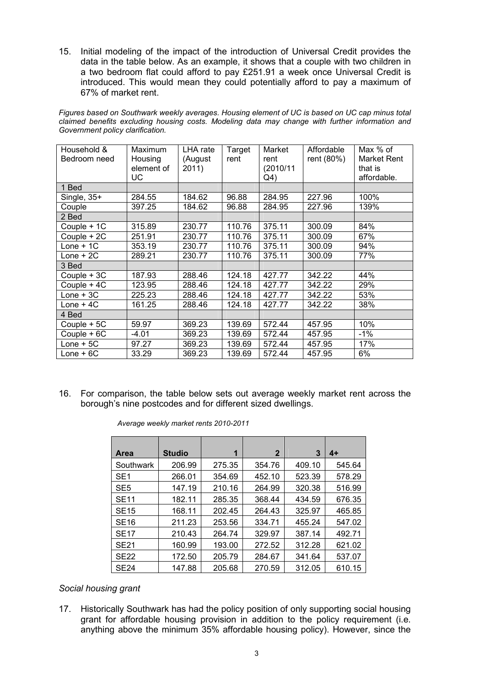15. Initial modeling of the impact of the introduction of Universal Credit provides the data in the table below. As an example, it shows that a couple with two children in a two bedroom flat could afford to pay £251.91 a week once Universal Credit is introduced. This would mean they could potentially afford to pay a maximum of 67% of market rent.

|  |                                  |  |  |  |  | Figures based on Southwark weekly averages. Housing element of UC is based on UC cap minus total |  |
|--|----------------------------------|--|--|--|--|--------------------------------------------------------------------------------------------------|--|
|  |                                  |  |  |  |  | claimed benefits excluding housing costs. Modeling data may change with further information and  |  |
|  | Government policy clarification. |  |  |  |  |                                                                                                  |  |

| Household &  | Maximum    | LHA rate | Target | Market    | Affordable | Max % of    |
|--------------|------------|----------|--------|-----------|------------|-------------|
| Bedroom need | Housing    | (August  | rent   | rent      | rent (80%) | Market Rent |
|              | element of | 2011)    |        | (2010/11) |            | that is     |
|              | UC         |          |        | $Q_4$     |            | affordable. |
| 1 Bed        |            |          |        |           |            |             |
| Single, 35+  | 284.55     | 184.62   | 96.88  | 284.95    | 227.96     | 100%        |
| Couple       | 397.25     | 184.62   | 96.88  | 284.95    | 227.96     | 139%        |
| 2 Bed        |            |          |        |           |            |             |
| Couple + 1C  | 315.89     | 230.77   | 110.76 | 375.11    | 300.09     | 84%         |
| Couple + 2C  | 251.91     | 230.77   | 110.76 | 375.11    | 300.09     | 67%         |
| $Lone + 1C$  | 353.19     | 230.77   | 110.76 | 375.11    | 300.09     | 94%         |
| $Lone + 2C$  | 289.21     | 230.77   | 110.76 | 375.11    | 300.09     | 77%         |
| 3 Bed        |            |          |        |           |            |             |
| Couple + 3C  | 187.93     | 288.46   | 124.18 | 427.77    | 342.22     | 44%         |
| Couple + 4C  | 123.95     | 288.46   | 124.18 | 427.77    | 342.22     | 29%         |
| $Lone + 3C$  | 225.23     | 288.46   | 124.18 | 427.77    | 342.22     | 53%         |
| $Lone + 4C$  | 161.25     | 288.46   | 124.18 | 427.77    | 342.22     | 38%         |
| 4 Bed        |            |          |        |           |            |             |
| Couple + 5C  | 59.97      | 369.23   | 139.69 | 572.44    | 457.95     | 10%         |
| Couple + 6C  | $-4.01$    | 369.23   | 139.69 | 572.44    | 457.95     | $-1\%$      |
| $Lone + 5C$  | 97.27      | 369.23   | 139.69 | 572.44    | 457.95     | 17%         |
| $Lone + 6C$  | 33.29      | 369.23   | 139.69 | 572.44    | 457.95     | 6%          |

16. For comparison, the table below sets out average weekly market rent across the borough's nine postcodes and for different sized dwellings.

| <b>Area</b>     | <b>Studio</b> | 1      | $\mathbf{2}$ | 3      | 4+     |
|-----------------|---------------|--------|--------------|--------|--------|
| Southwark       | 206.99        | 275.35 | 354.76       | 409.10 | 545.64 |
| SE <sub>1</sub> | 266.01        | 354.69 | 452.10       | 523.39 | 578.29 |
| SE <sub>5</sub> | 147.19        | 210.16 | 264.99       | 320.38 | 516.99 |
| <b>SE11</b>     | 182.11        | 285.35 | 368.44       | 434.59 | 676.35 |
| <b>SE15</b>     | 168.11        | 202.45 | 264.43       | 325.97 | 465.85 |
| <b>SE16</b>     | 211.23        | 253.56 | 334.71       | 455.24 | 547.02 |
| <b>SE17</b>     | 210.43        | 264.74 | 329.97       | 387.14 | 492.71 |
| <b>SE21</b>     | 160.99        | 193.00 | 272.52       | 312.28 | 621.02 |
| <b>SE22</b>     | 172.50        | 205.79 | 284.67       | 341.64 | 537.07 |
| <b>SE24</b>     | 147.88        | 205.68 | 270.59       | 312.05 | 610.15 |

*Average weekly market rents 2010-2011* 

#### *Social housing grant*

17. Historically Southwark has had the policy position of only supporting social housing grant for affordable housing provision in addition to the policy requirement (i.e. anything above the minimum 35% affordable housing policy). However, since the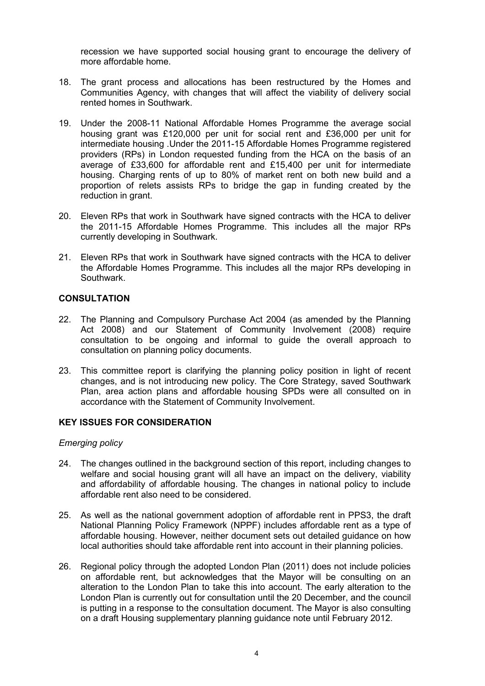recession we have supported social housing grant to encourage the delivery of more affordable home.

- 18. The grant process and allocations has been restructured by the Homes and Communities Agency, with changes that will affect the viability of delivery social rented homes in Southwark.
- 19. Under the 2008-11 National Affordable Homes Programme the average social housing grant was £120,000 per unit for social rent and £36,000 per unit for intermediate housing .Under the 2011-15 Affordable Homes Programme registered providers (RPs) in London requested funding from the HCA on the basis of an average of £33,600 for affordable rent and £15,400 per unit for intermediate housing. Charging rents of up to 80% of market rent on both new build and a proportion of relets assists RPs to bridge the gap in funding created by the reduction in grant.
- 20. Eleven RPs that work in Southwark have signed contracts with the HCA to deliver the 2011-15 Affordable Homes Programme. This includes all the major RPs currently developing in Southwark.
- 21. Eleven RPs that work in Southwark have signed contracts with the HCA to deliver the Affordable Homes Programme. This includes all the major RPs developing in Southwark.

# **CONSULTATION**

- 22. The Planning and Compulsory Purchase Act 2004 (as amended by the Planning Act 2008) and our Statement of Community Involvement (2008) require consultation to be ongoing and informal to guide the overall approach to consultation on planning policy documents.
- 23. This committee report is clarifying the planning policy position in light of recent changes, and is not introducing new policy. The Core Strategy, saved Southwark Plan, area action plans and affordable housing SPDs were all consulted on in accordance with the Statement of Community Involvement.

#### **KEY ISSUES FOR CONSIDERATION**

#### *Emerging policy*

- 24. The changes outlined in the background section of this report, including changes to welfare and social housing grant will all have an impact on the delivery, viability and affordability of affordable housing. The changes in national policy to include affordable rent also need to be considered.
- 25. As well as the national government adoption of affordable rent in PPS3, the draft National Planning Policy Framework (NPPF) includes affordable rent as a type of affordable housing. However, neither document sets out detailed guidance on how local authorities should take affordable rent into account in their planning policies.
- 26. Regional policy through the adopted London Plan (2011) does not include policies on affordable rent, but acknowledges that the Mayor will be consulting on an alteration to the London Plan to take this into account. The early alteration to the London Plan is currently out for consultation until the 20 December, and the council is putting in a response to the consultation document. The Mayor is also consulting on a draft Housing supplementary planning guidance note until February 2012.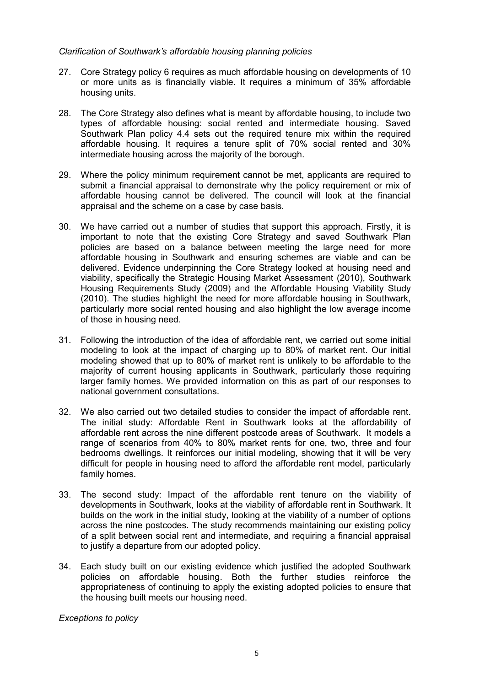### *Clarification of Southwark's affordable housing planning policies*

- 27. Core Strategy policy 6 requires as much affordable housing on developments of 10 or more units as is financially viable. It requires a minimum of 35% affordable housing units.
- 28. The Core Strategy also defines what is meant by affordable housing, to include two types of affordable housing: social rented and intermediate housing. Saved Southwark Plan policy 4.4 sets out the required tenure mix within the required affordable housing. It requires a tenure split of 70% social rented and 30% intermediate housing across the majority of the borough.
- 29. Where the policy minimum requirement cannot be met, applicants are required to submit a financial appraisal to demonstrate why the policy requirement or mix of affordable housing cannot be delivered. The council will look at the financial appraisal and the scheme on a case by case basis.
- 30. We have carried out a number of studies that support this approach. Firstly, it is important to note that the existing Core Strategy and saved Southwark Plan policies are based on a balance between meeting the large need for more affordable housing in Southwark and ensuring schemes are viable and can be delivered. Evidence underpinning the Core Strategy looked at housing need and viability, specifically the Strategic Housing Market Assessment (2010), Southwark Housing Requirements Study (2009) and the Affordable Housing Viability Study (2010). The studies highlight the need for more affordable housing in Southwark, particularly more social rented housing and also highlight the low average income of those in housing need.
- 31. Following the introduction of the idea of affordable rent, we carried out some initial modeling to look at the impact of charging up to 80% of market rent. Our initial modeling showed that up to 80% of market rent is unlikely to be affordable to the majority of current housing applicants in Southwark, particularly those requiring larger family homes. We provided information on this as part of our responses to national government consultations.
- 32. We also carried out two detailed studies to consider the impact of affordable rent. The initial study: Affordable Rent in Southwark looks at the affordability of affordable rent across the nine different postcode areas of Southwark. It models a range of scenarios from 40% to 80% market rents for one, two, three and four bedrooms dwellings. It reinforces our initial modeling, showing that it will be very difficult for people in housing need to afford the affordable rent model, particularly family homes.
- 33. The second study: Impact of the affordable rent tenure on the viability of developments in Southwark, looks at the viability of affordable rent in Southwark. It builds on the work in the initial study, looking at the viability of a number of options across the nine postcodes. The study recommends maintaining our existing policy of a split between social rent and intermediate, and requiring a financial appraisal to justify a departure from our adopted policy.
- 34. Each study built on our existing evidence which justified the adopted Southwark policies on affordable housing. Both the further studies reinforce the appropriateness of continuing to apply the existing adopted policies to ensure that the housing built meets our housing need.

*Exceptions to policy*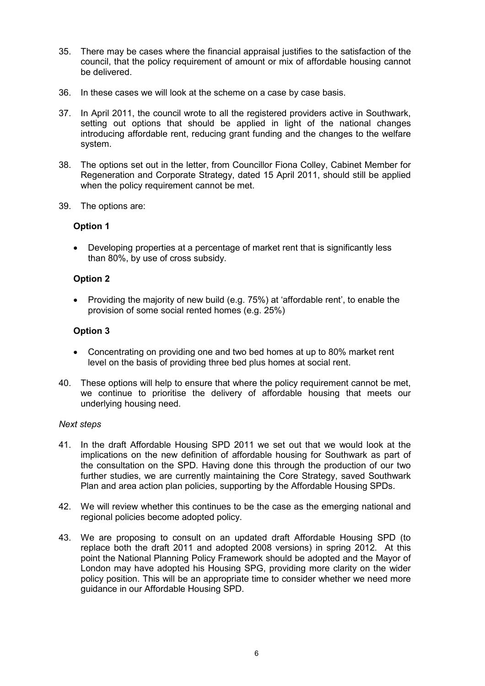- 35. There may be cases where the financial appraisal justifies to the satisfaction of the council, that the policy requirement of amount or mix of affordable housing cannot be delivered.
- 36. In these cases we will look at the scheme on a case by case basis.
- 37. In April 2011, the council wrote to all the registered providers active in Southwark, setting out options that should be applied in light of the national changes introducing affordable rent, reducing grant funding and the changes to the welfare system.
- 38. The options set out in the letter, from Councillor Fiona Colley, Cabinet Member for Regeneration and Corporate Strategy, dated 15 April 2011, should still be applied when the policy requirement cannot be met.
- 39. The options are:

#### **Option 1**

• Developing properties at a percentage of market rent that is significantly less than 80%, by use of cross subsidy.

#### **Option 2**

• Providing the majority of new build (e.g. 75%) at 'affordable rent', to enable the provision of some social rented homes (e.g. 25%)

#### **Option 3**

- Concentrating on providing one and two bed homes at up to 80% market rent level on the basis of providing three bed plus homes at social rent.
- 40. These options will help to ensure that where the policy requirement cannot be met, we continue to prioritise the delivery of affordable housing that meets our underlying housing need.

#### *Next steps*

- 41. In the draft Affordable Housing SPD 2011 we set out that we would look at the implications on the new definition of affordable housing for Southwark as part of the consultation on the SPD. Having done this through the production of our two further studies, we are currently maintaining the Core Strategy, saved Southwark Plan and area action plan policies, supporting by the Affordable Housing SPDs.
- 42. We will review whether this continues to be the case as the emerging national and regional policies become adopted policy.
- 43. We are proposing to consult on an updated draft Affordable Housing SPD (to replace both the draft 2011 and adopted 2008 versions) in spring 2012. At this point the National Planning Policy Framework should be adopted and the Mayor of London may have adopted his Housing SPG, providing more clarity on the wider policy position. This will be an appropriate time to consider whether we need more guidance in our Affordable Housing SPD.